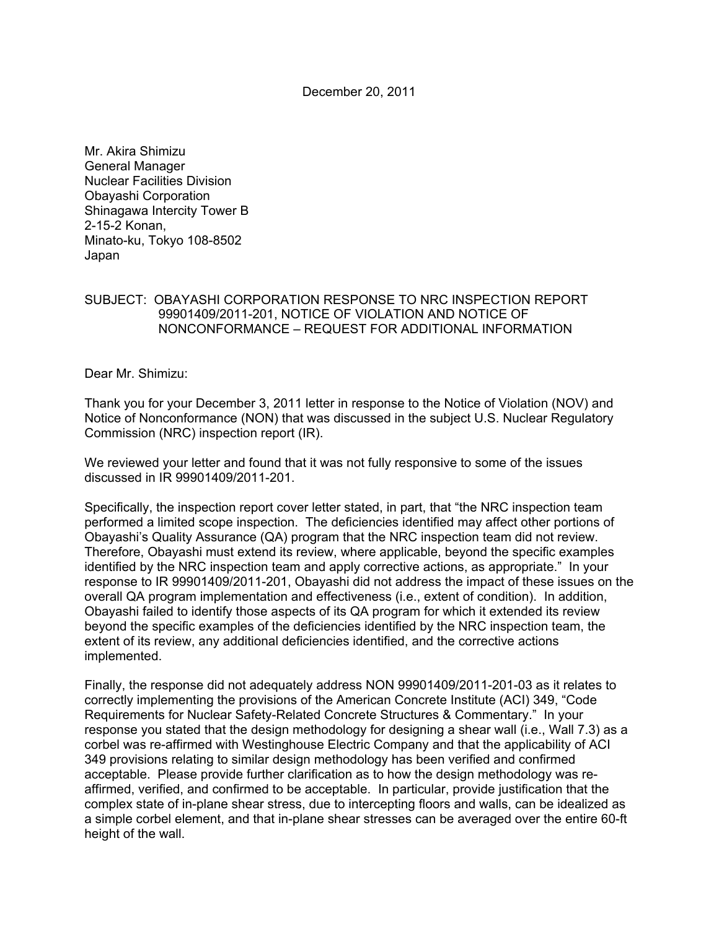December 20, 2011

Mr. Akira Shimizu General Manager Nuclear Facilities Division Obayashi Corporation Shinagawa Intercity Tower B 2-15-2 Konan, Minato-ku, Tokyo 108-8502 Japan

## SUBJECT: OBAYASHI CORPORATION RESPONSE TO NRC INSPECTION REPORT 99901409/2011-201, NOTICE OF VIOLATION AND NOTICE OF NONCONFORMANCE – REQUEST FOR ADDITIONAL INFORMATION

Dear Mr. Shimizu:

Thank you for your December 3, 2011 letter in response to the Notice of Violation (NOV) and Notice of Nonconformance (NON) that was discussed in the subject U.S. Nuclear Regulatory Commission (NRC) inspection report (IR).

We reviewed your letter and found that it was not fully responsive to some of the issues discussed in IR 99901409/2011-201.

Specifically, the inspection report cover letter stated, in part, that "the NRC inspection team performed a limited scope inspection. The deficiencies identified may affect other portions of Obayashi's Quality Assurance (QA) program that the NRC inspection team did not review. Therefore, Obayashi must extend its review, where applicable, beyond the specific examples identified by the NRC inspection team and apply corrective actions, as appropriate." In your response to IR 99901409/2011-201, Obayashi did not address the impact of these issues on the overall QA program implementation and effectiveness (i.e., extent of condition). In addition, Obayashi failed to identify those aspects of its QA program for which it extended its review beyond the specific examples of the deficiencies identified by the NRC inspection team, the extent of its review, any additional deficiencies identified, and the corrective actions implemented.

Finally, the response did not adequately address NON 99901409/2011-201-03 as it relates to correctly implementing the provisions of the American Concrete Institute (ACI) 349, "Code Requirements for Nuclear Safety-Related Concrete Structures & Commentary." In your response you stated that the design methodology for designing a shear wall (i.e., Wall 7.3) as a corbel was re-affirmed with Westinghouse Electric Company and that the applicability of ACI 349 provisions relating to similar design methodology has been verified and confirmed acceptable. Please provide further clarification as to how the design methodology was reaffirmed, verified, and confirmed to be acceptable. In particular, provide justification that the complex state of in-plane shear stress, due to intercepting floors and walls, can be idealized as a simple corbel element, and that in-plane shear stresses can be averaged over the entire 60-ft height of the wall.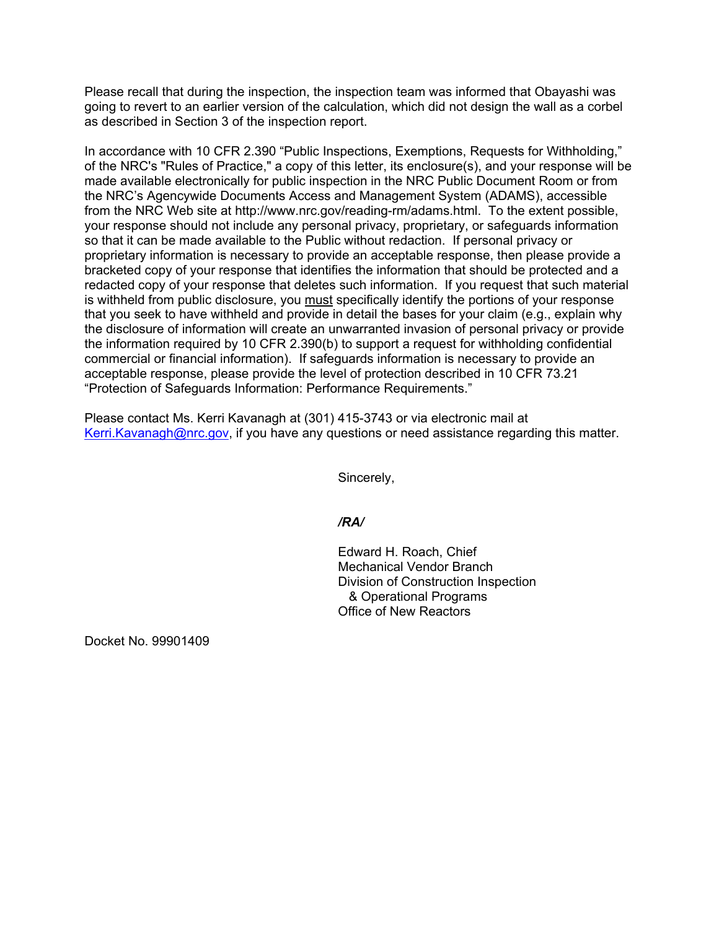Please recall that during the inspection, the inspection team was informed that Obayashi was going to revert to an earlier version of the calculation, which did not design the wall as a corbel as described in Section 3 of the inspection report.

In accordance with 10 CFR 2.390 "Public Inspections, Exemptions, Requests for Withholding," of the NRC's "Rules of Practice," a copy of this letter, its enclosure(s), and your response will be made available electronically for public inspection in the NRC Public Document Room or from the NRC's Agencywide Documents Access and Management System (ADAMS), accessible from the NRC Web site at http://www.nrc.gov/reading-rm/adams.html. To the extent possible, your response should not include any personal privacy, proprietary, or safeguards information so that it can be made available to the Public without redaction. If personal privacy or proprietary information is necessary to provide an acceptable response, then please provide a bracketed copy of your response that identifies the information that should be protected and a redacted copy of your response that deletes such information. If you request that such material is withheld from public disclosure, you must specifically identify the portions of your response that you seek to have withheld and provide in detail the bases for your claim (e.g., explain why the disclosure of information will create an unwarranted invasion of personal privacy or provide the information required by 10 CFR 2.390(b) to support a request for withholding confidential commercial or financial information). If safeguards information is necessary to provide an acceptable response, please provide the level of protection described in 10 CFR 73.21 "Protection of Safeguards Information: Performance Requirements."

Please contact Ms. Kerri Kavanagh at (301) 415-3743 or via electronic mail at Kerri.Kavanagh@nrc.gov, if you have any questions or need assistance regarding this matter.

Sincerely,

*/RA/* 

Edward H. Roach, Chief Mechanical Vendor Branch Division of Construction Inspection & Operational Programs Office of New Reactors

Docket No. 99901409